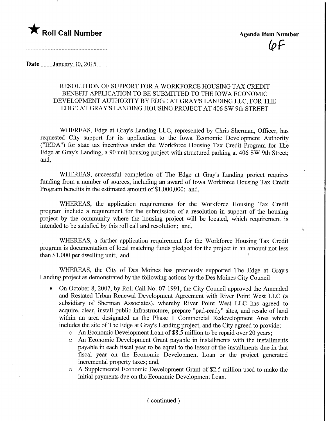

 $\lambda$ 

Date ........January 30, 2015

## RESOLUTION OF SUPPORT FOR A WORKFORCE HOUSING TAX CREDIT BENEFIT APPLICATION TO BE SUBMITTED TO THE IOWA ECONOMIC DEVELOPMENT AUTHORITY BY EDGE AT GRAY'S LANDING LLC, FOR THE EDGE AT GRAY'S LANDING HOUSING PROJECT AT 406 SW 9th STREET

WHEREAS, Edge at Gray's Landing LLC, represented by Chris Sherman, Officer, has requested City support for its application to the Iowa Economic Development Authority ("IEDA") for state tax incentives under the Workforce Housing Tax Credit Program for The Edge at Gray's Landing, a 90 unit housing project with structured parking at 406 SW 9th Street; and,

WHEREAS, successful completion of The Edge at Gray's Landing project requires funding from a number of sources, including an award of Iowa Workforce Housing Tax Credit Program benefits in the estimated amount of \$1,000,000; and,

WHEREAS, the application requirements for the Workforce Housing Tax Credit program include a requirement for the submission of a resolution in support of the housing project by the community where the housing project will be located, which requirement is intended to be satisfied by this roll call and resolution; and,

WHEREAS, a further application requirement for the Workforce Housing Tax Credit program is documentation of local matching funds pledged for the project in an amount not less than  $$1,000$  per dwelling unit; and

WHEREAS, the City of Des Moines has previously supported The Edge at Gray's Landing project as demonstrated by the following actions by the Des Moines City Council:

- On October 8, 2007, by Roll Call No. 07-1991, the City Council approved the Amended and Restated Urban Renewal Development Agreement with River Point West LLC (a subsidiary of Sherman Associates), whereby River Point West LLC has agreed to acquire, clear, install public infrastructure, prepare "pad-ready" sites, and resale of land within an area designated as the Phase 1 Commercial Redevelopment Area which includes the site of The Edge at Gray's Landing project, and the City agreed to provide:
	- o An Economic Development Loan of \$8.5 million to be repaid over 20 years;
	- o An Economic Development Grant payable in installments with the installments payable in each fiscal year to be equal to the lessor of the installments due in that fiscal year on the Economic Development Loan or the project generated incremental property taxes; and,
	- o A Supplemental Economic Development Grant of \$2.5 million used to make the initial payments due on the Economic Development Loan.

## (continued)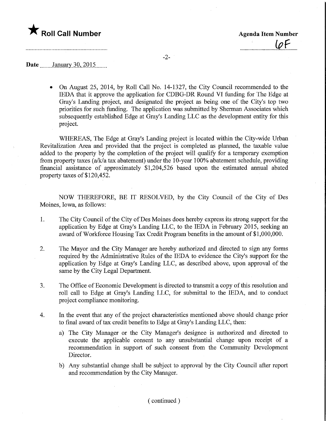

## **Date** January 30, 2015

• On August 25, 2014, by Roll Call No. 14-1327, the City Council recommended to the IEDA that it approve the application for CDBG-DR Round VI funding for The Edge at Gray's Landing project, and designated the project as being one of the City's top two priorities for such funding. The application was submitted by Sherman Associates which subsequently established Edge at Gray's Landing LLC as the development entity for this project.

WHEREAS, The Edge at Gray's Landing project is located within the City-wide Urban Revitalization Area and provided that the project is completed as planned, the taxable value added to the property by the completion of the project will qualify for a temporary exemption from property taxes (a/k/a tax abatement) under the 10-year 100% abatement schedule, providing financial assistance of approximately \$1,204,526 based upon the estimated annual abated property taxes of \$120,452.

NOW THEREFORE, BE IT RESOLVED, by the City Council of the City of Des Moines, Iowa, as follows:

- 1. The City Council of the City of Des Moines does hereby express its strong support for the application by Edge at Gray's Landing LLC, to the IEDA in February 2015, seeking an award of Workforce Housing Tax Credit Program benefits in the amount of \$1,000,000.
- 2. The Mayor and the City Manager are hereby authorized and directed to sign any forms required by the Administrative Rules of the IEDA to evidence the City's support for the application by Edge at Gray's Landing LLC, as described above, upon approval of the same by the City Legal Department.
- 3. The Office of Economic Development is directed to transmit a copy of this resolution and roll call to Edge at Gray's Landing LLC, for submittal to the IEDA, and to conduct project compliance monitoring.
- 4. In the event that any of the project characteristics mentioned above should change prior to final award of tax credit benefits to Edge at Gray's Landing LLC, then:
	- a) The City Manager or the City Manager's designee is authorized and directed to execute the applicable consent to any unsubstantial change upon receipt of a recommendation in support of such consent from the Community Development Director.
	- b) Any substantial change shall be subject to approval by the City Council after report and recommendation by the City Manager.